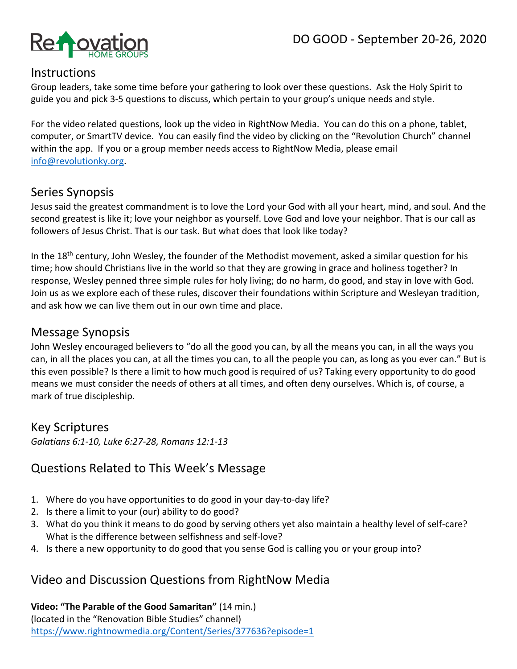

#### **Instructions**

Group leaders, take some time before your gathering to look over these questions. Ask the Holy Spirit to guide you and pick 3-5 questions to discuss, which pertain to your group's unique needs and style.

For the video related questions, look up the video in RightNow Media. You can do this on a phone, tablet, computer, or SmartTV device. You can easily find the video by clicking on the "Revolution Church" channel within the app. If you or a group member needs access to RightNow Media, please email info@revolutionky.org.

## Series Synopsis

Jesus said the greatest commandment is to love the Lord your God with all your heart, mind, and soul. And the second greatest is like it; love your neighbor as yourself. Love God and love your neighbor. That is our call as followers of Jesus Christ. That is our task. But what does that look like today?

In the 18<sup>th</sup> century, John Wesley, the founder of the Methodist movement, asked a similar question for his time; how should Christians live in the world so that they are growing in grace and holiness together? In response, Wesley penned three simple rules for holy living; do no harm, do good, and stay in love with God. Join us as we explore each of these rules, discover their foundations within Scripture and Wesleyan tradition, and ask how we can live them out in our own time and place.

#### Message Synopsis

John Wesley encouraged believers to "do all the good you can, by all the means you can, in all the ways you can, in all the places you can, at all the times you can, to all the people you can, as long as you ever can." But is this even possible? Is there a limit to how much good is required of us? Taking every opportunity to do good means we must consider the needs of others at all times, and often deny ourselves. Which is, of course, a mark of true discipleship.

## Key Scriptures

*Galatians 6:1-10, Luke 6:27-28, Romans 12:1-13*

## Questions Related to This Week's Message

- 1. Where do you have opportunities to do good in your day-to-day life?
- 2. Is there a limit to your (our) ability to do good?
- 3. What do you think it means to do good by serving others yet also maintain a healthy level of self-care? What is the difference between selfishness and self-love?
- 4. Is there a new opportunity to do good that you sense God is calling you or your group into?

## Video and Discussion Questions from RightNow Media

**Video: "The Parable of the Good Samaritan"** (14 min.) (located in the "Renovation Bible Studies" channel) https://www.rightnowmedia.org/Content/Series/377636?episode=1